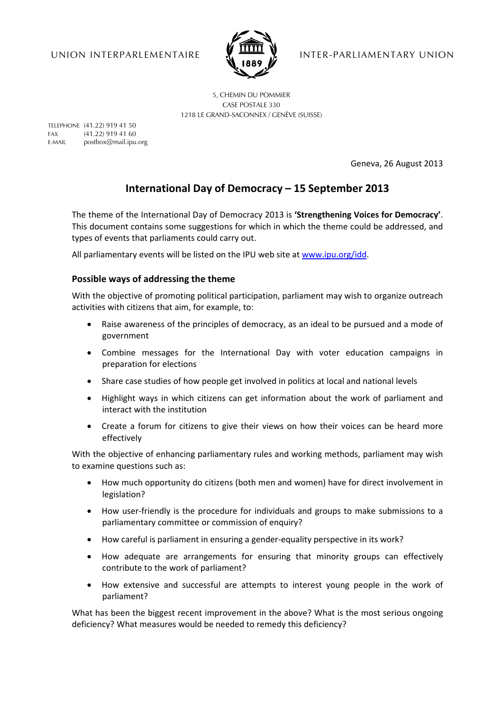

UNION INTERPARLEMENTAIRE **I. THE VERTITER-PARLIAMENTARY UNION** 

5, CHEMIN DU POMMIER CASE POSTALE 330 1218 LE GRAND-SACONNEX / GENÈVE (SUISSE)

TELEPHONE (41.22) 919 41 50 FAX (41.22) 919 41 60 E-MAIL postbox@mail.ipu.org

Geneva, 26 August 2013

# **International Day of Democracy – 15 September 2013**

The theme of the International Day of Democracy 2013 is **'Strengthening Voices for Democracy'**. This document contains some suggestions for which in which the theme could be addressed, and types of events that parliaments could carry out.

All parliamentary events will be listed on the IPU web site at www.ipu.org/idd.

# **Possible ways of addressing the theme**

With the objective of promoting political participation, parliament may wish to organize outreach activities with citizens that aim, for example, to:

- Raise awareness of the principles of democracy, as an ideal to be pursued and a mode of government
- Combine messages for the International Day with voter education campaigns in preparation for elections
- Share case studies of how people get involved in politics at local and national levels
- Highlight ways in which citizens can get information about the work of parliament and interact with the institution
- Create a forum for citizens to give their views on how their voices can be heard more effectively

With the objective of enhancing parliamentary rules and working methods, parliament may wish to examine questions such as:

- How much opportunity do citizens (both men and women) have for direct involvement in legislation?
- How user-friendly is the procedure for individuals and groups to make submissions to a parliamentary committee or commission of enquiry?
- How careful is parliament in ensuring a gender-equality perspective in its work?
- How adequate are arrangements for ensuring that minority groups can effectively contribute to the work of parliament?
- How extensive and successful are attempts to interest young people in the work of parliament?

What has been the biggest recent improvement in the above? What is the most serious ongoing deficiency? What measures would be needed to remedy this deficiency?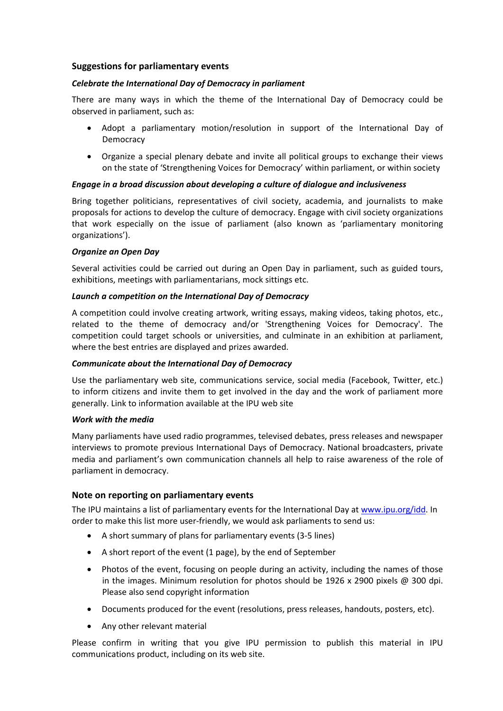### **Suggestions for parliamentary events**

### *Celebrate the International Day of Democracy in parliament*

There are many ways in which the theme of the International Day of Democracy could be observed in parliament, such as:

- Adopt a parliamentary motion/resolution in support of the International Day of Democracy
- Organize a special plenary debate and invite all political groups to exchange their views on the state of 'Strengthening Voices for Democracy' within parliament, or within society

## *Engage in a broad discussion about developing a culture of dialogue and inclusiveness*

Bring together politicians, representatives of civil society, academia, and journalists to make proposals for actions to develop the culture of democracy. Engage with civil society organizations that work especially on the issue of parliament (also known as 'parliamentary monitoring organizations').

#### *Organize an Open Day*

Several activities could be carried out during an Open Day in parliament, such as guided tours, exhibitions, meetings with parliamentarians, mock sittings etc.

#### *Launch a competition on the International Day of Democracy*

A competition could involve creating artwork, writing essays, making videos, taking photos, etc., related to the theme of democracy and/or 'Strengthening Voices for Democracy'. The competition could target schools or universities, and culminate in an exhibition at parliament, where the best entries are displayed and prizes awarded.

#### *Communicate about the International Day of Democracy*

Use the parliamentary web site, communications service, social media (Facebook, Twitter, etc.) to inform citizens and invite them to get involved in the day and the work of parliament more generally. Link to information available at the IPU web site

#### *Work with the media*

Many parliaments have used radio programmes, televised debates, press releases and newspaper interviews to promote previous International Days of Democracy. National broadcasters, private media and parliament's own communication channels all help to raise awareness of the role of parliament in democracy.

# **Note on reporting on parliamentary events**

The IPU maintains a list of parliamentary events for the International Day at www.ipu.org/idd. In order to make this list more user-friendly, we would ask parliaments to send us:

- A short summary of plans for parliamentary events (3-5 lines)
- A short report of the event (1 page), by the end of September
- Photos of the event, focusing on people during an activity, including the names of those in the images. Minimum resolution for photos should be  $1926 \times 2900$  pixels @ 300 dpi. Please also send copyright information
- Documents produced for the event (resolutions, press releases, handouts, posters, etc).
- Any other relevant material

Please confirm in writing that you give IPU permission to publish this material in IPU communications product, including on its web site.